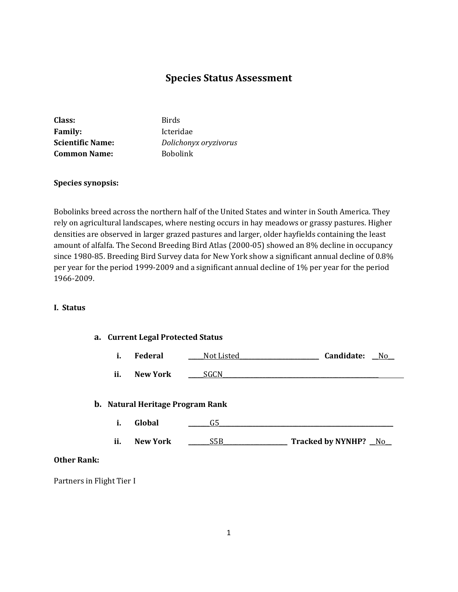# **Species Status Assessment**

| Class:                  | <b>Birds</b>          |
|-------------------------|-----------------------|
| <b>Family:</b>          | Icteridae             |
| <b>Scientific Name:</b> | Dolichonyx oryzivorus |
| <b>Common Name:</b>     | <b>Bobolink</b>       |

## **Species synopsis:**

Bobolinks breed across the northern half of the United States and winter in South America. They rely on agricultural landscapes, where nesting occurs in hay meadows or grassy pastures. Higher densities are observed in larger grazed pastures and larger, older hayfields containing the least amount of alfalfa. The Second Breeding Bird Atlas (2000-05) showed an 8% decline in occupancy since 1980-85. Breeding Bird Survey data for New York show a significant annual decline of 0.8% per year for the period 1999-2009 and a significant annual decline of 1% per year for the period 1966-2009.

## **I. Status**

## **a. Current Legal Protected Status**

|  | <b>Federal</b> | Not Listed | Candidate: | No |
|--|----------------|------------|------------|----|
|--|----------------|------------|------------|----|

**ii.** New York SGCN

#### **b. Natural Heritage Program Rank**

| i. | Global |  |
|----|--------|--|
|    |        |  |

**ii. New York** \_\_\_\_\_\_\_S5B\_\_\_\_\_\_\_\_\_\_\_\_\_\_\_\_\_\_\_\_\_ **Tracked by NYNHP?** \_\_No\_\_

## **Other Rank:**

Partners in Flight Tier I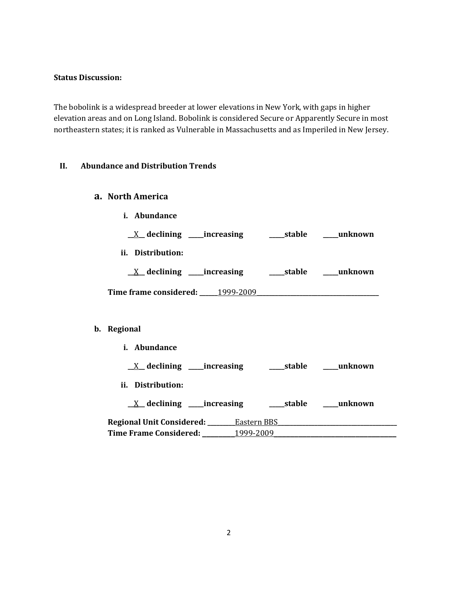#### **Status Discussion:**

The bobolink is a widespread breeder at lower elevations in New York, with gaps in higher elevation areas and on Long Island. Bobolink is considered Secure or Apparently Secure in most northeastern states; it is ranked as Vulnerable in Massachusetts and as Imperiled in New Jersey.

## **II. Abundance and Distribution Trends**

## **a. North America**

- **i. Abundance**
- **\_\_**X**\_\_ declining \_\_\_\_\_increasing \_\_\_\_\_stable \_\_\_\_\_unknown**
- **ii. Distribution:**

| $\underline{X}$ declining | increasing | stable | unknown |
|---------------------------|------------|--------|---------|
|---------------------------|------------|--------|---------|

**Time frame considered: \_\_\_\_\_\_**1999-2009**\_\_\_\_\_\_\_\_\_\_\_\_\_\_\_\_\_\_\_\_\_\_\_\_\_\_\_\_\_\_\_\_\_\_\_\_\_\_\_\_**

## **b. Regional**

**i. Abundance \_\_**X**\_\_ declining \_\_\_\_\_increasing \_\_\_\_\_stable \_\_\_\_\_unknown ii. Distribution: \_\_**X**\_\_ declining \_\_\_\_\_increasing \_\_\_\_\_stable \_\_\_\_\_unknown Regional Unit Considered: \_\_\_\_\_\_\_\_\_**Eastern BBS**\_\_\_\_\_\_\_\_\_\_\_\_\_\_\_\_\_\_\_\_\_\_\_\_\_\_\_\_\_\_\_\_\_\_\_\_\_\_\_ Time Frame Considered: \_\_\_\_\_\_\_\_**1999-2009**\_\_\_\_\_\_\_\_\_\_\_\_\_\_\_\_\_\_\_\_\_\_\_\_\_\_\_\_\_\_**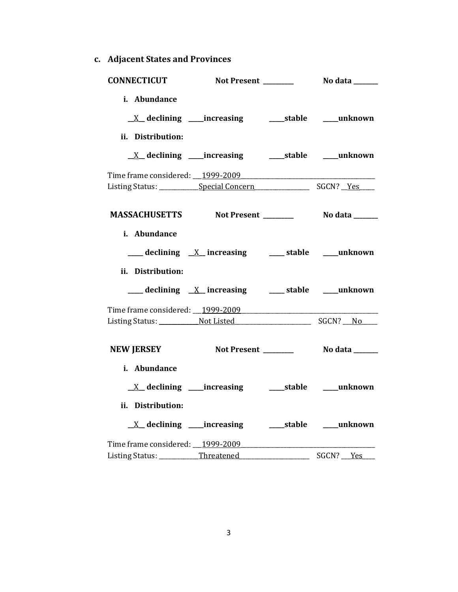**c. Adjacent States and Provinces**

| <b>CONNECTICUT</b>                                 |                                                              |                          |           |
|----------------------------------------------------|--------------------------------------------------------------|--------------------------|-----------|
| i. Abundance                                       | <u>X</u> declining ____increasing ______stable ____unknown   |                          |           |
| ii. Distribution:                                  |                                                              |                          |           |
|                                                    |                                                              |                          |           |
|                                                    | <u>X</u> declining ____increasing _______stable _____unknown |                          |           |
|                                                    |                                                              |                          |           |
|                                                    |                                                              |                          |           |
|                                                    |                                                              |                          |           |
| MASSACHUSETTS Not Present _________ No data ______ |                                                              |                          |           |
| i. Abundance                                       |                                                              |                          |           |
|                                                    |                                                              |                          |           |
|                                                    | ___ declining _X_ increasing ____ stable ___ unknown         |                          |           |
| ii. Distribution:                                  |                                                              |                          |           |
|                                                    | ___ declining <u>X</u> increasing ___ stable ___ unknown     |                          |           |
|                                                    |                                                              |                          |           |
|                                                    |                                                              |                          |           |
|                                                    |                                                              |                          |           |
| NEW JERSEY Not Present _________ No data ______    |                                                              |                          |           |
| i. Abundance                                       |                                                              |                          |           |
|                                                    |                                                              |                          |           |
| ii. Distribution:                                  |                                                              |                          |           |
|                                                    |                                                              |                          |           |
| Time frame considered: __1999-2009                 |                                                              |                          |           |
| Listing Status: __________Threatened_____________  |                                                              | $\overline{\phantom{0}}$ | SGCN? Yes |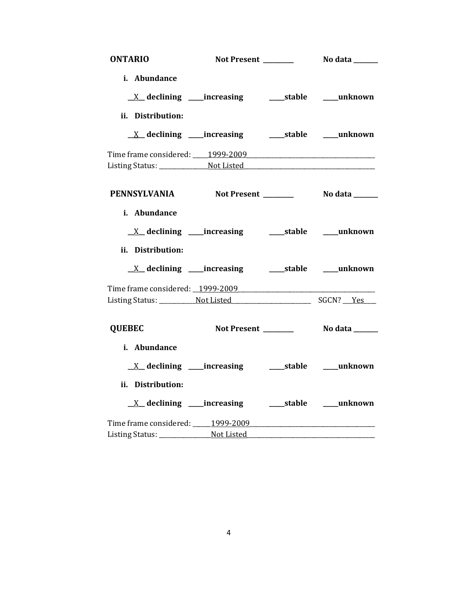| <b>ONTARIO</b>                   |                                                            |                          |
|----------------------------------|------------------------------------------------------------|--------------------------|
| i. Abundance                     |                                                            |                          |
|                                  |                                                            |                          |
| ii. Distribution:                |                                                            |                          |
|                                  | <u>X</u> declining ____increasing ______stable ____unknown |                          |
|                                  |                                                            |                          |
|                                  |                                                            |                          |
|                                  | PENNSYLVANIA Not Present No data ______                    |                          |
| i. Abundance                     |                                                            |                          |
|                                  | $X$ declining _____increasing                              | _____stable _____unknown |
| ii. Distribution:                |                                                            |                          |
|                                  |                                                            |                          |
|                                  | Time frame considered: 1999-2009                           |                          |
|                                  |                                                            |                          |
| <b>QUEBEC</b>                    | Not Present _______                                        | No data ______           |
| i. Abundance                     |                                                            |                          |
|                                  | $X$ declining _____increasing                              | _____stable _____unknown |
| ii. Distribution:                |                                                            |                          |
|                                  | <u>X</u> declining ____increasing ______stable ____unknown |                          |
| Time frame considered: 1999-2009 |                                                            |                          |
|                                  |                                                            |                          |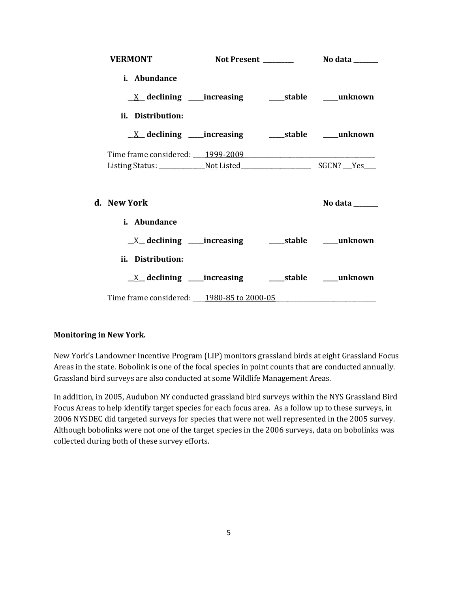| <b>VERMONT</b>                                                            |  |                                   |
|---------------------------------------------------------------------------|--|-----------------------------------|
| i. Abundance                                                              |  |                                   |
|                                                                           |  |                                   |
| ii. Distribution:                                                         |  |                                   |
| <u>X</u> declining ____increasing ______stable _____unknown               |  |                                   |
|                                                                           |  |                                   |
|                                                                           |  |                                   |
| d. – New York                                                             |  | No data $\_\_\_\_\_\_\_\_\_\_\_\$ |
| i. Abundance                                                              |  |                                   |
| $\underline{X}$ declining ____increasing __________stable ______unknown   |  |                                   |
| ii. Distribution:                                                         |  |                                   |
| $\underline{X}$ declining ____increasing ___________stable _______unknown |  |                                   |
| Time frame considered: _____1980-85 to 2000-05                            |  |                                   |

## **Monitoring in New York.**

New York's Landowner Incentive Program (LIP) monitors grassland birds at eight Grassland Focus Areas in the state. Bobolink is one of the focal species in point counts that are conducted annually. Grassland bird surveys are also conducted at some Wildlife Management Areas.

In addition, in 2005, Audubon NY conducted grassland bird surveys within the NYS Grassland Bird Focus Areas to help identify target species for each focus area. As a follow up to these surveys, in 2006 NYSDEC did targeted surveys for species that were not well represented in the 2005 survey. Although bobolinks were not one of the target species in the 2006 surveys, data on bobolinks was collected during both of these survey efforts.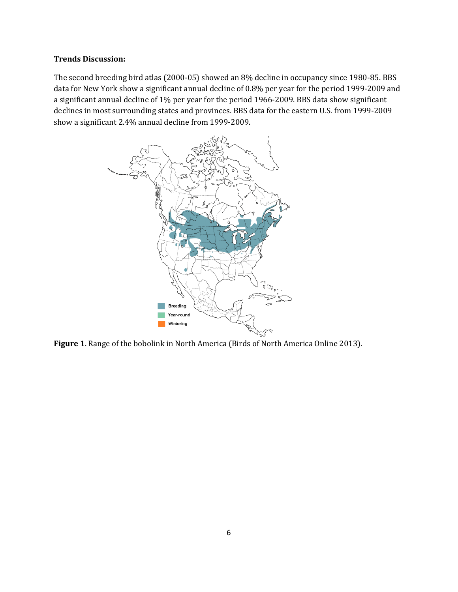## **Trends Discussion:**

The second breeding bird atlas (2000-05) showed an 8% decline in occupancy since 1980-85. BBS data for New York show a significant annual decline of 0.8% per year for the period 1999-2009 and a significant annual decline of 1% per year for the period 1966-2009. BBS data show significant declines in most surrounding states and provinces. BBS data for the eastern U.S. from 1999-2009 show a significant 2.4% annual decline from 1999-2009.



**Figure 1**. Range of the bobolink in North America (Birds of North America Online 2013).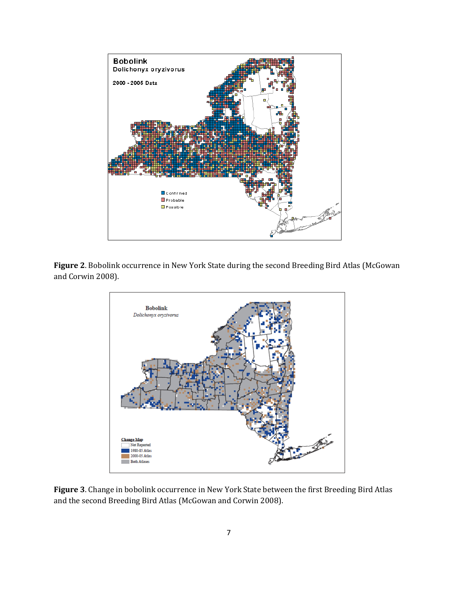

**Figure 2**. Bobolink occurrence in New York State during the second Breeding Bird Atlas (McGowan and Corwin 2008).



**Figure 3**. Change in bobolink occurrence in New York State between the first Breeding Bird Atlas and the second Breeding Bird Atlas (McGowan and Corwin 2008).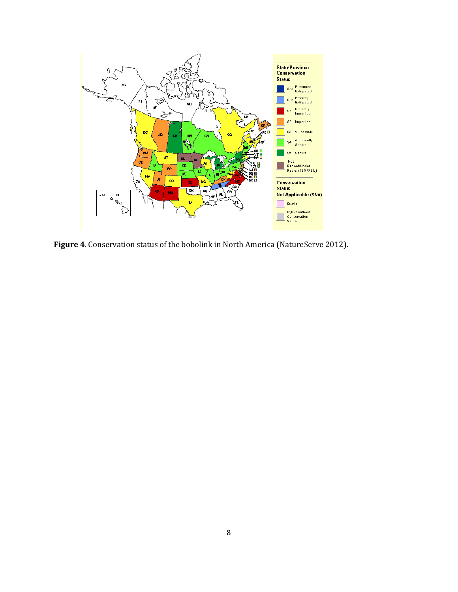

**Figure 4**. Conservation status of the bobolink in North America (NatureServe 2012).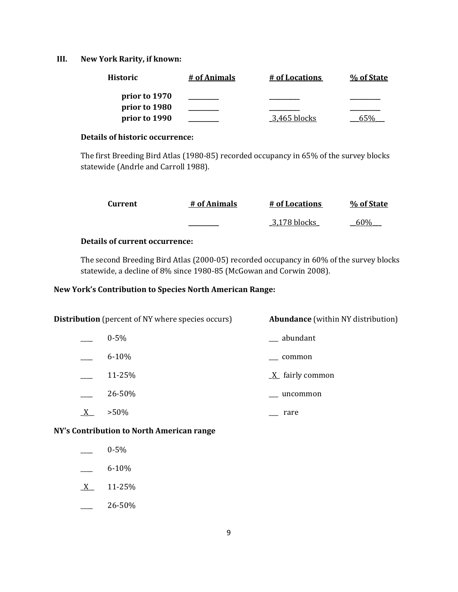## **III. New York Rarity, if known:**

| <b>Historic</b> | # of Animals | # of Locations | % of State |
|-----------------|--------------|----------------|------------|
| prior to 1970   |              |                |            |
| prior to 1980   |              |                |            |
| prior to 1990   |              | 3,465 blocks   |            |

## **Details of historic occurrence:**

The first Breeding Bird Atlas (1980-85) recorded occupancy in 65% of the survey blocks statewide (Andrle and Carroll 1988).

| Current | # of Animals | # of Locations | % of State |
|---------|--------------|----------------|------------|
|         |              | 3,178 blocks   | 60%        |

## **Details of current occurrence:**

The second Breeding Bird Atlas (2000-05) recorded occupancy in 60% of the survey blocks statewide, a decline of 8% since 1980-85 (McGowan and Corwin 2008).

## **New York's Contribution to Species North American Range:**

|  | <b>Distribution</b> (percent of NY where species occurs) | <b>Abundance</b> (within NY distribution) |
|--|----------------------------------------------------------|-------------------------------------------|
|  | $0 - 5\%$                                                | __ abundant                               |
|  | $6 - 10%$                                                | common                                    |
|  | 11-25%                                                   | $\underline{X}$ fairly common             |
|  | 26-50%                                                   | uncommon                                  |
|  | $>50\%$                                                  | rare                                      |
|  |                                                          |                                           |

**NY's Contribution to North American range**

- \_\_\_\_ 0-5%
- $-$  6-10%
- $X$  11-25%
- $-26-50%$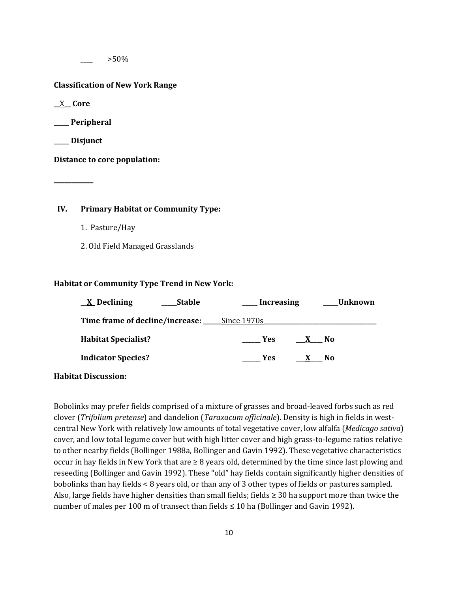$>50\%$ 

#### **Classification of New York Range**

**\_\_**X**\_\_ Core**

**\_\_\_\_\_ Peripheral**

**\_\_\_\_\_ Disjunct**

**\_\_\_\_\_\_\_\_\_\_\_**

**Distance to core population:**

## **IV. Primary Habitat or Community Type:**

- 1. Pasture/Hay
- 2. Old Field Managed Grasslands

#### **Habitat or Community Type Trend in New York:**

| $\underline{X}$ Declining<br><b>Stable</b>  | Unknown<br><b>Increasing</b> |
|---------------------------------------------|------------------------------|
| Time frame of decline/increase: Since 1970s |                              |
| <b>Habitat Specialist?</b>                  | Yes<br>X No                  |
| <b>Indicator Species?</b>                   | <b>Yes</b><br>$X$ No         |
|                                             |                              |

#### **Habitat Discussion:**

Bobolinks may prefer fields comprised of a mixture of grasses and broad-leaved forbs such as red clover (*Trifolium pretense*) and dandelion (*Taraxacum officinale*). Density is high in fields in westcentral New York with relatively low amounts of total vegetative cover, low alfalfa (*Medicago sativa*) cover, and low total legume cover but with high litter cover and high grass-to-legume ratios relative to other nearby fields (Bollinger 1988a, Bollinger and Gavin 1992). These vegetative characteristics occur in hay fields in New York that are ≥ 8 years old, determined by the time since last plowing and reseeding (Bollinger and Gavin 1992). These "old" hay fields contain significantly higher densities of bobolinks than hay fields < 8 years old, or than any of 3 other types of fields or pastures sampled. Also, large fields have higher densities than small fields; fields  $\geq$  30 ha support more than twice the number of males per 100 m of transect than fields  $\leq 10$  ha (Bollinger and Gavin 1992).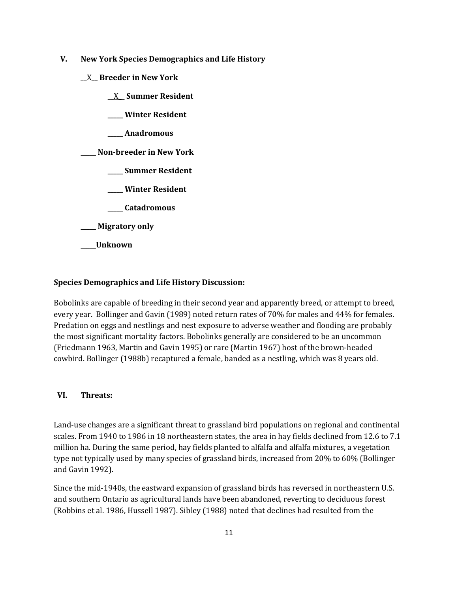- **V. New York Species Demographics and Life History**
	- \_\_X**\_\_ Breeder in New York**
		- **\_\_**X**\_\_ Summer Resident**
		- **\_\_\_\_\_ Winter Resident**
		- **\_\_\_\_\_ Anadromous**

**\_\_\_\_\_ Non-breeder in New York**

- **\_\_\_\_\_ Summer Resident**
- **\_\_\_\_\_ Winter Resident**
- **\_\_\_\_\_ Catadromous**
- **\_\_\_\_\_ Migratory only**
- **\_\_\_\_\_Unknown**

## **Species Demographics and Life History Discussion:**

Bobolinks are capable of breeding in their second year and apparently breed, or attempt to breed, every year. Bollinger and Gavin (1989) noted return rates of 70% for males and 44% for females. Predation on eggs and nestlings and nest exposure to adverse weather and flooding are probably the most significant mortality factors. Bobolinks generally are considered to be an uncommon (Friedmann 1963, Martin and Gavin 1995) or rare (Martin 1967) host of the brown-headed cowbird. Bollinger (1988b) recaptured a female, banded as a nestling, which was 8 years old.

#### **VI. Threats:**

Land-use changes are a significant threat to grassland bird populations on regional and continental scales. From 1940 to 1986 in 18 northeastern states, the area in hay fields declined from 12.6 to 7.1 million ha. During the same period, hay fields planted to alfalfa and alfalfa mixtures, a vegetation type not typically used by many species of grassland birds, increased from 20% to 60% (Bollinger and Gavin 1992).

Since the mid-1940s, the eastward expansion of grassland birds has reversed in northeastern U.S. and southern Ontario as agricultural lands have been abandoned, reverting to deciduous forest (Robbins et al. 1986, Hussell 1987). Sibley (1988) noted that declines had resulted from the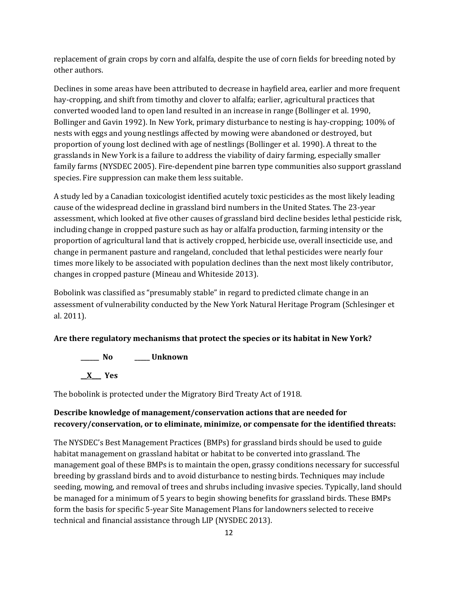replacement of grain crops by corn and alfalfa, despite the use of corn fields for breeding noted by other authors.

Declines in some areas have been attributed to decrease in hayfield area, earlier and more frequent hay-cropping, and shift from timothy and clover to alfalfa; earlier, agricultural practices that converted wooded land to open land resulted in an increase in range (Bollinger et al. 1990, Bollinger and Gavin 1992). In New York, primary disturbance to nesting is hay-cropping; 100% of nests with eggs and young nestlings affected by mowing were abandoned or destroyed, but proportion of young lost declined with age of nestlings (Bollinger et al. 1990). A threat to the grasslands in New York is a failure to address the viability of dairy farming, especially smaller family farms (NYSDEC 2005). Fire-dependent pine barren type communities also support grassland species. Fire suppression can make them less suitable.

A study led by a Canadian toxicologist identified acutely toxic pesticides as the most likely leading cause of the widespread decline in grassland bird numbers in the United States. The 23-year assessment, which looked at five other causes of grassland bird decline besides lethal pesticide risk, including change in cropped pasture such as hay or alfalfa production, farming intensity or the proportion of agricultural land that is actively cropped, herbicide use, overall insecticide use, and change in permanent pasture and rangeland, concluded that lethal pesticides were nearly four times more likely to be associated with population declines than the next most likely contributor, changes in cropped pasture (Mineau and Whiteside 2013).

Bobolink was classified as "presumably stable" in regard to predicted climate change in an assessment of vulnerability conducted by the New York Natural Heritage Program (Schlesinger et al. 2011).

## **Are there regulatory mechanisms that protect the species or its habitat in New York?**

**\_\_\_\_\_\_ No \_\_\_\_\_ Unknown \_\_X\_\_\_ Yes** 

The bobolink is protected under the Migratory Bird Treaty Act of 1918.

## **Describe knowledge of management/conservation actions that are needed for recovery/conservation, or to eliminate, minimize, or compensate for the identified threats:**

The NYSDEC's Best Management Practices (BMPs) for grassland birds should be used to guide habitat management on grassland habitat or habitat to be converted into grassland. The management goal of these BMPs is to maintain the open, grassy conditions necessary for successful breeding by grassland birds and to avoid disturbance to nesting birds. Techniques may include seeding, mowing, and removal of trees and shrubs including invasive species. Typically, land should be managed for a minimum of 5 years to begin showing benefits for grassland birds. These BMPs form the basis for specific 5-year Site Management Plans for landowners selected to receive technical and financial assistance through LIP (NYSDEC 2013).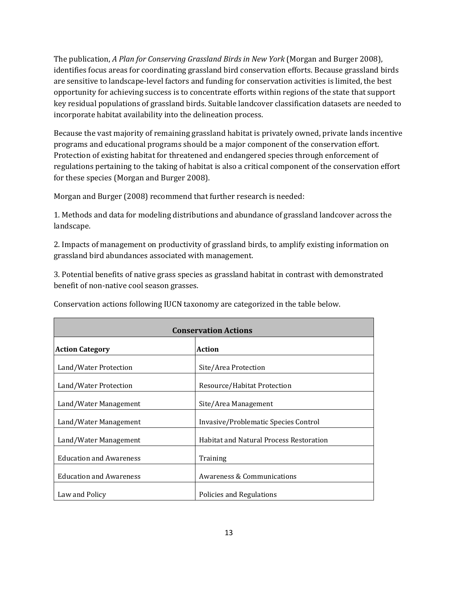The publication, *A Plan for Conserving Grassland Birds in New York* (Morgan and Burger 2008), identifies focus areas for coordinating grassland bird conservation efforts. Because grassland birds are sensitive to landscape-level factors and funding for conservation activities is limited, the best opportunity for achieving success is to concentrate efforts within regions of the state that support key residual populations of grassland birds. Suitable landcover classification datasets are needed to incorporate habitat availability into the delineation process.

Because the vast majority of remaining grassland habitat is privately owned, private lands incentive programs and educational programs should be a major component of the conservation effort. Protection of existing habitat for threatened and endangered species through enforcement of regulations pertaining to the taking of habitat is also a critical component of the conservation effort for these species (Morgan and Burger 2008).

Morgan and Burger (2008) recommend that further research is needed:

1. Methods and data for modeling distributions and abundance of grassland landcover across the landscape.

2. Impacts of management on productivity of grassland birds, to amplify existing information on grassland bird abundances associated with management.

3. Potential benefits of native grass species as grassland habitat in contrast with demonstrated benefit of non-native cool season grasses.

| <b>Conservation Actions</b>    |                                                |  |
|--------------------------------|------------------------------------------------|--|
| <b>Action Category</b>         | <b>Action</b>                                  |  |
| Land/Water Protection          | Site/Area Protection                           |  |
| Land/Water Protection          | Resource/Habitat Protection                    |  |
| Land/Water Management          | Site/Area Management                           |  |
| Land/Water Management          | Invasive/Problematic Species Control           |  |
| Land/Water Management          | <b>Habitat and Natural Process Restoration</b> |  |
| <b>Education and Awareness</b> | Training                                       |  |
| <b>Education and Awareness</b> | <b>Awareness &amp; Communications</b>          |  |
| Law and Policy                 | Policies and Regulations                       |  |

Conservation actions following IUCN taxonomy are categorized in the table below.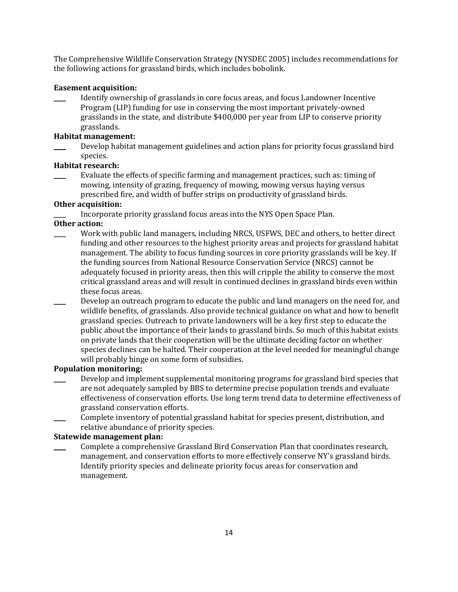The Comprehensive Wildlife Conservation Strategy (NYSDEC 2005) includes recommendations for the following actions for grassland birds, which includes bobolink.

## **Easement acquisition:**

Identify ownership of grasslands in core focus areas, and focus Landowner Incentive Program (LIP) funding for use in conserving the most important privately-owned grasslands in the state, and distribute \$400,000 per year from LIP to conserve priority grasslands.

## **Habitat management:**

Develop habitat management guidelines and action plans for priority focus grassland bird species.

## **Habitat research:**

\_\_\_\_ Evaluate the effects of specific farming and management practices, such as: timing of mowing, intensity of grazing, frequency of mowing, mowing versus haying versus prescribed fire, and width of buffer strips on productivity of grassland birds.

## **Other acquisition:**

Incorporate priority grassland focus areas into the NYS Open Space Plan.

## **Other action:**

- Work with public land managers, including NRCS, USFWS, DEC and others, to better direct funding and other resources to the highest priority areas and projects for grassland habitat management. The ability to focus funding sources in core priority grasslands will be key. If the funding sources from National Resource Conservation Service (NRCS) cannot be adequately focused in priority areas, then this will cripple the ability to conserve the most critical grassland areas and will result in continued declines in grassland birds even within these focus areas.
- Develop an outreach program to educate the public and land managers on the need for, and wildlife benefits, of grasslands. Also provide technical guidance on what and how to benefit grassland species. Outreach to private landowners will be a key first step to educate the public about the importance of their lands to grassland birds. So much of this habitat exists on private lands that their cooperation will be the ultimate deciding factor on whether species declines can be halted. Their cooperation at the level needed for meaningful change will probably hinge on some form of subsidies.

## **Population monitoring:**

- Develop and implement supplemental monitoring programs for grassland bird species that are not adequately sampled by BBS to determine precise population trends and evaluate effectiveness of conservation efforts. Use long term trend data to determine effectiveness of grassland conservation efforts.
- Complete inventory of potential grassland habitat for species present, distribution, and relative abundance of priority species.

## **Statewide management plan:**

\_\_\_\_ Complete a comprehensive Grassland Bird Conservation Plan that coordinates research, management, and conservation efforts to more effectively conserve NY's grassland birds. Identify priority species and delineate priority focus areas for conservation and management.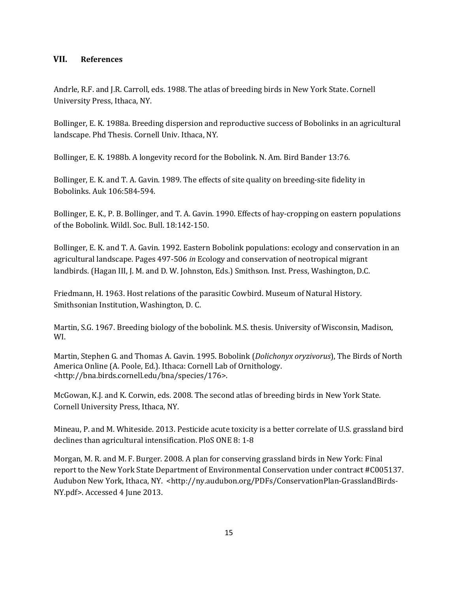## **VII. References**

Andrle, R.F. and J.R. Carroll, eds. 1988. The atlas of breeding birds in New York State. Cornell University Press, Ithaca, NY.

Bollinger, E. K. 1988a. Breeding dispersion and reproductive success of Bobolinks in an agricultural landscape. Phd Thesis. Cornell Univ. Ithaca, NY.

Bollinger, E. K. 1988b. A longevity record for the Bobolink. N. Am. Bird Bander 13:76.

Bollinger, E. K. and T. A. Gavin. 1989. The effects of site quality on breeding-site fidelity in Bobolinks. Auk 106:584-594.

Bollinger, E. K., P. B. Bollinger, and T. A. Gavin. 1990. Effects of hay-cropping on eastern populations of the Bobolink. Wildl. Soc. Bull. 18:142-150.

Bollinger, E. K. and T. A. Gavin. 1992. Eastern Bobolink populations: ecology and conservation in an agricultural landscape. Pages 497-506 *in* Ecology and conservation of neotropical migrant landbirds. (Hagan III, J. M. and D. W. Johnston, Eds.) Smithson. Inst. Press, Washington, D.C.

Friedmann, H. 1963. Host relations of the parasitic Cowbird. Museum of Natural History. Smithsonian Institution, Washington, D. C.

Martin, S.G. 1967. Breeding biology of the bobolink. M.S. thesis. University of Wisconsin, Madison, WI.

Martin, Stephen G. and Thomas A. Gavin. 1995. Bobolink (*Dolichonyx oryzivorus*), The Birds of North America Online (A. Poole, Ed.). Ithaca: Cornell Lab of Ornithology. <http://bna.birds.cornell.edu/bna/species/176>.

McGowan, K.J. and K. Corwin, eds. 2008. The second atlas of breeding birds in New York State. Cornell University Press, Ithaca, NY.

Mineau, P. and M. Whiteside. 2013. Pesticide acute toxicity is a better correlate of U.S. grassland bird declines than agricultural intensification. PloS ONE 8: 1-8

Morgan, M. R. and M. F. Burger. 2008. A plan for conserving grassland birds in New York: Final report to the New York State Department of Environmental Conservation under contract #C005137. Audubon New York, Ithaca, NY. <http://ny.audubon.org/PDFs/ConservationPlan-GrasslandBirds-NY.pdf>. Accessed 4 June 2013.